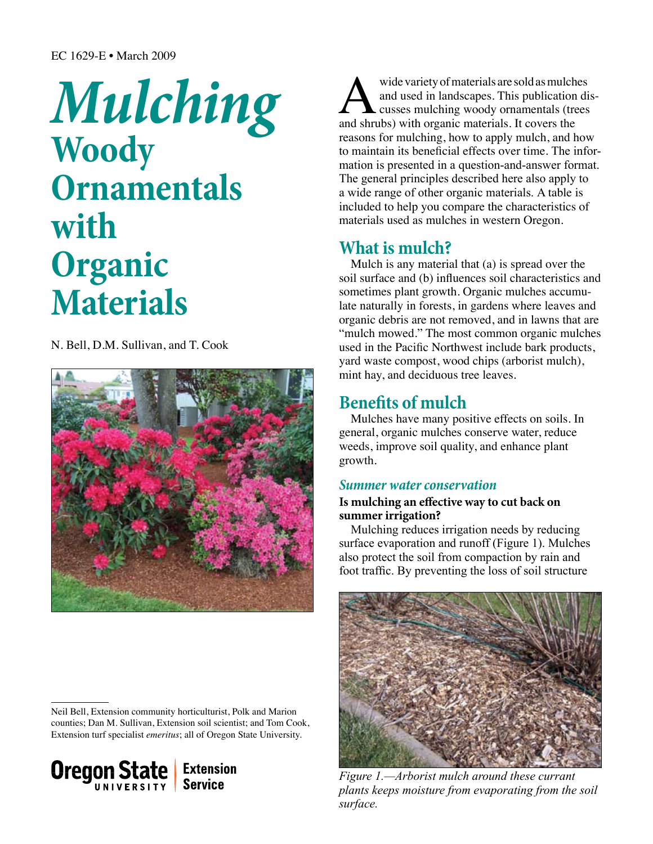# *Mulching*  **Woody Ornamentals with Organic Materials**

N. Bell, D.M. Sullivan, and T. Cook



Neil Bell, Extension community horticulturist, Polk and Marion counties; Dan M. Sullivan, Extension soil scientist; and Tom Cook, Extension turf specialist *emeritus*; all of Oregon State University.



wide variety of materials are sold as mulches<br>and used in landscapes. This publication di<br>and shrubs) with organic materials. It covers the and used in landscapes. This publication discusses mulching woody ornamentals (trees reasons for mulching, how to apply mulch, and how to maintain its beneficial effects over time. The information is presented in a question-and-answer format. The general principles described here also apply to a wide range of other organic materials. A table is included to help you compare the characteristics of materials used as mulches in western Oregon.

# **What is mulch?**

Mulch is any material that (a) is spread over the soil surface and (b) influences soil characteristics and sometimes plant growth. Organic mulches accumulate naturally in forests, in gardens where leaves and organic debris are not removed, and in lawns that are "mulch mowed." The most common organic mulches used in the Pacific Northwest include bark products, yard waste compost, wood chips (arborist mulch), mint hay, and deciduous tree leaves.

# **Benefits of mulch**

Mulches have many positive effects on soils. In general, organic mulches conserve water, reduce weeds, improve soil quality, and enhance plant growth.

# *Summer water conservation*

## **Is mulching an effective way to cut back on summer irrigation?**

Mulching reduces irrigation needs by reducing surface evaporation and runoff (Figure 1). Mulches also protect the soil from compaction by rain and foot traffic. By preventing the loss of soil structure



*Figure 1.—Arborist mulch around these currant plants keeps moisture from evaporating from the soil surface.*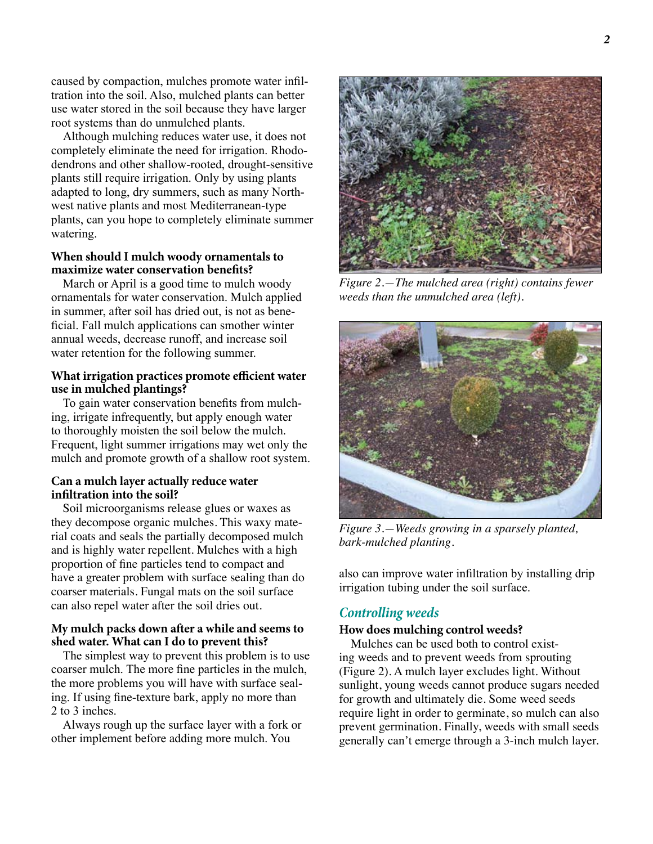caused by compaction, mulches promote water infiltration into the soil. Also, mulched plants can better use water stored in the soil because they have larger root systems than do unmulched plants.

Although mulching reduces water use, it does not completely eliminate the need for irrigation. Rhododendrons and other shallow-rooted, drought-sensitive plants still require irrigation. Only by using plants adapted to long, dry summers, such as many Northwest native plants and most Mediterranean-type plants, can you hope to completely eliminate summer watering.

#### **When should I mulch woody ornamentals to maximize water conservation benefits?**

March or April is a good time to mulch woody ornamentals for water conservation. Mulch applied in summer, after soil has dried out, is not as beneficial. Fall mulch applications can smother winter annual weeds, decrease runoff, and increase soil water retention for the following summer.

## **What irrigation practices promote efficient water use in mulched plantings?**

To gain water conservation benefits from mulching, irrigate infrequently, but apply enough water to thoroughly moisten the soil below the mulch. Frequent, light summer irrigations may wet only the mulch and promote growth of a shallow root system.

## **Can a mulch layer actually reduce water infiltration into the soil?**

Soil microorganisms release glues or waxes as they decompose organic mulches. This waxy material coats and seals the partially decomposed mulch and is highly water repellent. Mulches with a high proportion of fine particles tend to compact and have a greater problem with surface sealing than do coarser materials. Fungal mats on the soil surface can also repel water after the soil dries out.

## **My mulch packs down after a while and seems to shed water. What can I do to prevent this?**

The simplest way to prevent this problem is to use coarser mulch. The more fine particles in the mulch, the more problems you will have with surface sealing. If using fine-texture bark, apply no more than 2 to 3 inches.

Always rough up the surface layer with a fork or other implement before adding more mulch. You



*Figure 2.—The mulched area (right) contains fewer weeds than the unmulched area (left).* 



*Figure 3.—Weeds growing in a sparsely planted, bark-mulched planting.* 

also can improve water infiltration by installing drip irrigation tubing under the soil surface.

# *Controlling weeds*

#### **How does mulching control weeds?**

Mulches can be used both to control existing weeds and to prevent weeds from sprouting (Figure 2). A mulch layer excludes light. Without sunlight, young weeds cannot produce sugars needed for growth and ultimately die. Some weed seeds require light in order to germinate, so mulch can also prevent germination. Finally, weeds with small seeds generally can't emerge through a 3-inch mulch layer.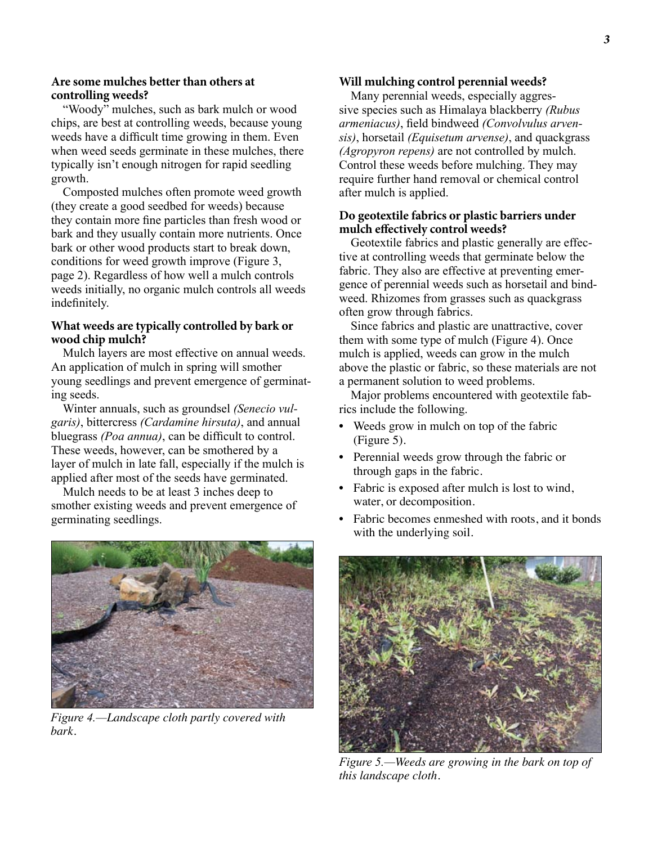#### **Are some mulches better than others at controlling weeds?**

"Woody" mulches, such as bark mulch or wood chips, are best at controlling weeds, because young weeds have a difficult time growing in them. Even when weed seeds germinate in these mulches, there typically isn't enough nitrogen for rapid seedling growth.

Composted mulches often promote weed growth (they create a good seedbed for weeds) because they contain more fine particles than fresh wood or bark and they usually contain more nutrients. Once bark or other wood products start to break down, conditions for weed growth improve (Figure 3, page 2). Regardless of how well a mulch controls weeds initially, no organic mulch controls all weeds indefinitely.

## **What weeds are typically controlled by bark or wood chip mulch?**

Mulch layers are most effective on annual weeds. An application of mulch in spring will smother young seedlings and prevent emergence of germinating seeds.

Winter annuals, such as groundsel *(Senecio vulgaris)*, bittercress *(Cardamine hirsuta)*, and annual bluegrass *(Poa annua)*, can be difficult to control. These weeds, however, can be smothered by a layer of mulch in late fall, especially if the mulch is applied after most of the seeds have germinated.

Mulch needs to be at least 3 inches deep to smother existing weeds and prevent emergence of germinating seedlings.



*Figure 4.—Landscape cloth partly covered with bark.*

#### **Will mulching control perennial weeds?**

Many perennial weeds, especially aggressive species such as Himalaya blackberry *(Rubus armeniacus)*, field bindweed *(Convolvulus arvensis)*, horsetail *(Equisetum arvense)*, and quackgrass *(Agropyron repens)* are not controlled by mulch. Control these weeds before mulching. They may require further hand removal or chemical control after mulch is applied.

#### **Do geotextile fabrics or plastic barriers under mulch effectively control weeds?**

Geotextile fabrics and plastic generally are effective at controlling weeds that germinate below the fabric. They also are effective at preventing emergence of perennial weeds such as horsetail and bindweed. Rhizomes from grasses such as quackgrass often grow through fabrics.

Since fabrics and plastic are unattractive, cover them with some type of mulch (Figure 4). Once mulch is applied, weeds can grow in the mulch above the plastic or fabric, so these materials are not a permanent solution to weed problems.

Major problems encountered with geotextile fabrics include the following.

- Weeds grow in mulch on top of the fabric (Figure 5).
- Perennial weeds grow through the fabric or through gaps in the fabric.
- Fabric is exposed after mulch is lost to wind, water, or decomposition.
- Fabric becomes enmeshed with roots, and it bonds with the underlying soil.



*Figure 5.—Weeds are growing in the bark on top of this landscape cloth.*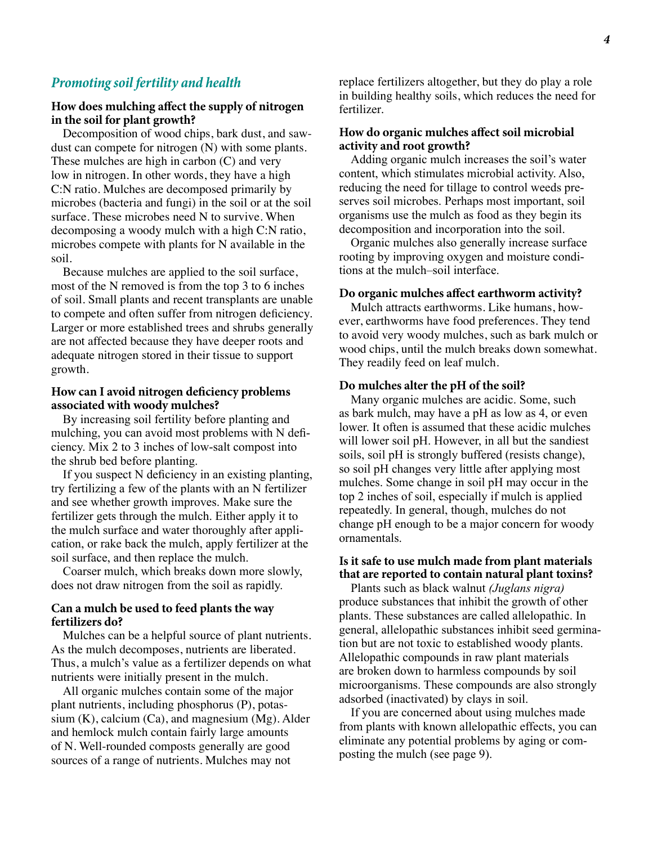#### *Promoting soil fertility and health*

#### **How does mulching affect the supply of nitrogen in the soil for plant growth?**

Decomposition of wood chips, bark dust, and sawdust can compete for nitrogen (N) with some plants. These mulches are high in carbon (C) and very low in nitrogen. In other words, they have a high C:N ratio. Mulches are decomposed primarily by microbes (bacteria and fungi) in the soil or at the soil surface. These microbes need N to survive. When decomposing a woody mulch with a high C:N ratio, microbes compete with plants for N available in the soil.

Because mulches are applied to the soil surface, most of the N removed is from the top 3 to 6 inches of soil. Small plants and recent transplants are unable to compete and often suffer from nitrogen deficiency. Larger or more established trees and shrubs generally are not affected because they have deeper roots and adequate nitrogen stored in their tissue to support growth.

#### **How can I avoid nitrogen deficiency problems associated with woody mulches?**

By increasing soil fertility before planting and mulching, you can avoid most problems with N deficiency. Mix 2 to 3 inches of low-salt compost into the shrub bed before planting.

If you suspect N deficiency in an existing planting, try fertilizing a few of the plants with an N fertilizer and see whether growth improves. Make sure the fertilizer gets through the mulch. Either apply it to the mulch surface and water thoroughly after application, or rake back the mulch, apply fertilizer at the soil surface, and then replace the mulch.

Coarser mulch, which breaks down more slowly, does not draw nitrogen from the soil as rapidly.

#### **Can a mulch be used to feed plants the way fertilizers do?**

Mulches can be a helpful source of plant nutrients. As the mulch decomposes, nutrients are liberated. Thus, a mulch's value as a fertilizer depends on what nutrients were initially present in the mulch.

All organic mulches contain some of the major plant nutrients, including phosphorus (P), potassium  $(K)$ , calcium  $(Ca)$ , and magnesium  $(Mg)$ . Alder and hemlock mulch contain fairly large amounts of N. Well-rounded composts generally are good sources of a range of nutrients. Mulches may not

replace fertilizers altogether, but they do play a role in building healthy soils, which reduces the need for fertilizer.

#### **How do organic mulches affect soil microbial activity and root growth?**

Adding organic mulch increases the soil's water content, which stimulates microbial activity. Also, reducing the need for tillage to control weeds preserves soil microbes. Perhaps most important, soil organisms use the mulch as food as they begin its decomposition and incorporation into the soil.

Organic mulches also generally increase surface rooting by improving oxygen and moisture conditions at the mulch–soil interface.

#### **Do organic mulches affect earthworm activity?**

Mulch attracts earthworms. Like humans, however, earthworms have food preferences. They tend to avoid very woody mulches, such as bark mulch or wood chips, until the mulch breaks down somewhat. They readily feed on leaf mulch.

#### **Do mulches alter the pH of the soil?**

Many organic mulches are acidic. Some, such as bark mulch, may have a pH as low as 4, or even lower. It often is assumed that these acidic mulches will lower soil pH. However, in all but the sandiest soils, soil pH is strongly buffered (resists change), so soil pH changes very little after applying most mulches. Some change in soil pH may occur in the top 2 inches of soil, especially if mulch is applied repeatedly. In general, though, mulches do not change pH enough to be a major concern for woody ornamentals.

#### **Is it safe to use mulch made from plant materials that are reported to contain natural plant toxins?**

Plants such as black walnut *(Juglans nigra)* produce substances that inhibit the growth of other plants. These substances are called allelopathic. In general, allelopathic substances inhibit seed germination but are not toxic to established woody plants. Allelopathic compounds in raw plant materials are broken down to harmless compounds by soil microorganisms. These compounds are also strongly adsorbed (inactivated) by clays in soil.

If you are concerned about using mulches made from plants with known allelopathic effects, you can eliminate any potential problems by aging or composting the mulch (see page 9).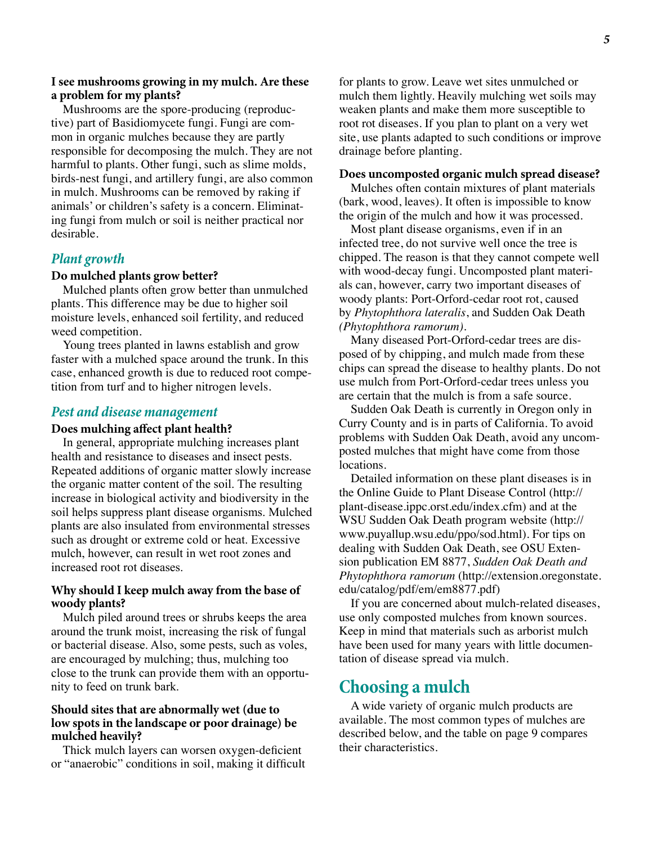#### **I see mushrooms growing in my mulch. Are these a problem for my plants?**

Mushrooms are the spore-producing (reproductive) part of Basidiomycete fungi. Fungi are common in organic mulches because they are partly responsible for decomposing the mulch. They are not harmful to plants. Other fungi, such as slime molds, birds-nest fungi, and artillery fungi, are also common in mulch. Mushrooms can be removed by raking if animals' or children's safety is a concern. Eliminating fungi from mulch or soil is neither practical nor desirable.

## *Plant growth*

#### **Do mulched plants grow better?**

Mulched plants often grow better than unmulched plants. This difference may be due to higher soil moisture levels, enhanced soil fertility, and reduced weed competition.

Young trees planted in lawns establish and grow faster with a mulched space around the trunk. In this case, enhanced growth is due to reduced root competition from turf and to higher nitrogen levels.

#### *Pest and disease management*

#### **Does mulching affect plant health?**

In general, appropriate mulching increases plant health and resistance to diseases and insect pests. Repeated additions of organic matter slowly increase the organic matter content of the soil. The resulting increase in biological activity and biodiversity in the soil helps suppress plant disease organisms. Mulched plants are also insulated from environmental stresses such as drought or extreme cold or heat. Excessive mulch, however, can result in wet root zones and increased root rot diseases.

#### **Why should I keep mulch away from the base of woody plants?**

Mulch piled around trees or shrubs keeps the area around the trunk moist, increasing the risk of fungal or bacterial disease. Also, some pests, such as voles, are encouraged by mulching; thus, mulching too close to the trunk can provide them with an opportunity to feed on trunk bark.

#### **Should sites that are abnormally wet (due to low spots in the landscape or poor drainage) be mulched heavily?**

Thick mulch layers can worsen oxygen-deficient or "anaerobic" conditions in soil, making it difficult

for plants to grow. Leave wet sites unmulched or mulch them lightly. Heavily mulching wet soils may weaken plants and make them more susceptible to root rot diseases. If you plan to plant on a very wet site, use plants adapted to such conditions or improve drainage before planting.

#### **Does uncomposted organic mulch spread disease?**

Mulches often contain mixtures of plant materials (bark, wood, leaves). It often is impossible to know the origin of the mulch and how it was processed.

Most plant disease organisms, even if in an infected tree, do not survive well once the tree is chipped. The reason is that they cannot compete well with wood-decay fungi. Uncomposted plant materials can, however, carry two important diseases of woody plants: Port-Orford-cedar root rot, caused by *Phytophthora lateralis*, and Sudden Oak Death *(Phytophthora ramorum)*.

Many diseased Port-Orford-cedar trees are disposed of by chipping, and mulch made from these chips can spread the disease to healthy plants. Do not use mulch from Port-Orford-cedar trees unless you are certain that the mulch is from a safe source.

Sudden Oak Death is currently in Oregon only in Curry County and is in parts of California. To avoid problems with Sudden Oak Death, avoid any uncomposted mulches that might have come from those locations.

Detailed information on these plant diseases is in the Online Guide to Plant Disease Control (http:// plant-disease.ippc.orst.edu/index.cfm) and at the WSU Sudden Oak Death program website (http:// www.puyallup.wsu.edu/ppo/sod.html). For tips on dealing with Sudden Oak Death, see OSU Extension publication EM 8877, *Sudden Oak Death and Phytophthora ramorum* (http://extension.oregonstate. edu/catalog/pdf/em/em8877.pdf)

If you are concerned about mulch-related diseases, use only composted mulches from known sources. Keep in mind that materials such as arborist mulch have been used for many years with little documentation of disease spread via mulch.

# **Choosing a mulch**

A wide variety of organic mulch products are available. The most common types of mulches are described below, and the table on page 9 compares their characteristics.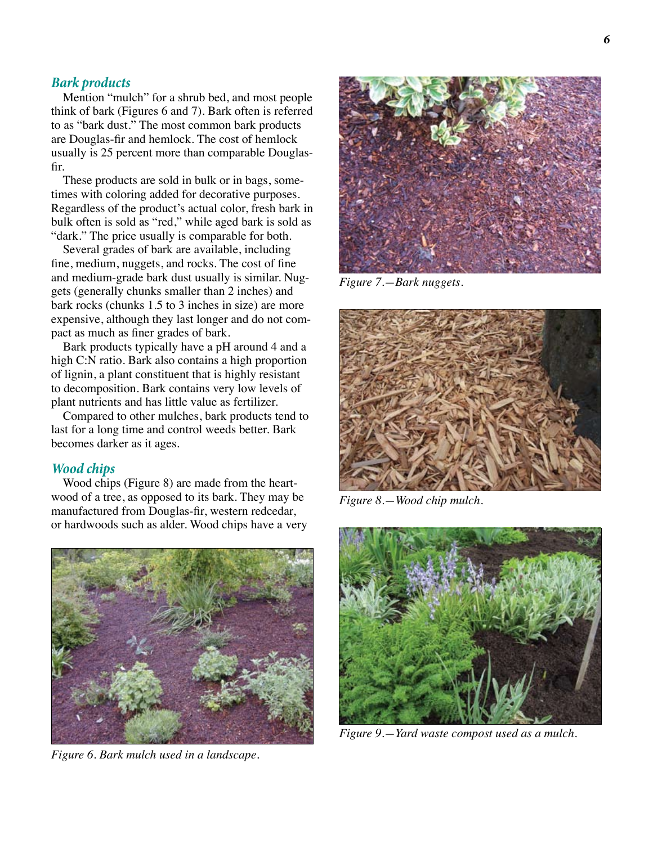#### *Bark products*

Mention "mulch" for a shrub bed, and most people think of bark (Figures 6 and 7). Bark often is referred to as "bark dust." The most common bark products are Douglas-fir and hemlock. The cost of hemlock usually is 25 percent more than comparable Douglasfir.

These products are sold in bulk or in bags, sometimes with coloring added for decorative purposes. Regardless of the product's actual color, fresh bark in bulk often is sold as "red," while aged bark is sold as "dark." The price usually is comparable for both.

Several grades of bark are available, including fine, medium, nuggets, and rocks. The cost of fine and medium-grade bark dust usually is similar. Nuggets (generally chunks smaller than 2 inches) and bark rocks (chunks 1.5 to 3 inches in size) are more expensive, although they last longer and do not compact as much as finer grades of bark.

Bark products typically have a pH around 4 and a high C:N ratio. Bark also contains a high proportion of lignin, a plant constituent that is highly resistant to decomposition. Bark contains very low levels of plant nutrients and has little value as fertilizer.

Compared to other mulches, bark products tend to last for a long time and control weeds better. Bark becomes darker as it ages.

#### *Wood chips*

Wood chips (Figure 8) are made from the heartwood of a tree, as opposed to its bark. They may be manufactured from Douglas-fir, western redcedar, or hardwoods such as alder. Wood chips have a very



*Figure 6. Bark mulch used in a landscape.*



*Figure 7.—Bark nuggets.*



*Figure 8.—Wood chip mulch.*



*Figure 9.—Yard waste compost used as a mulch.*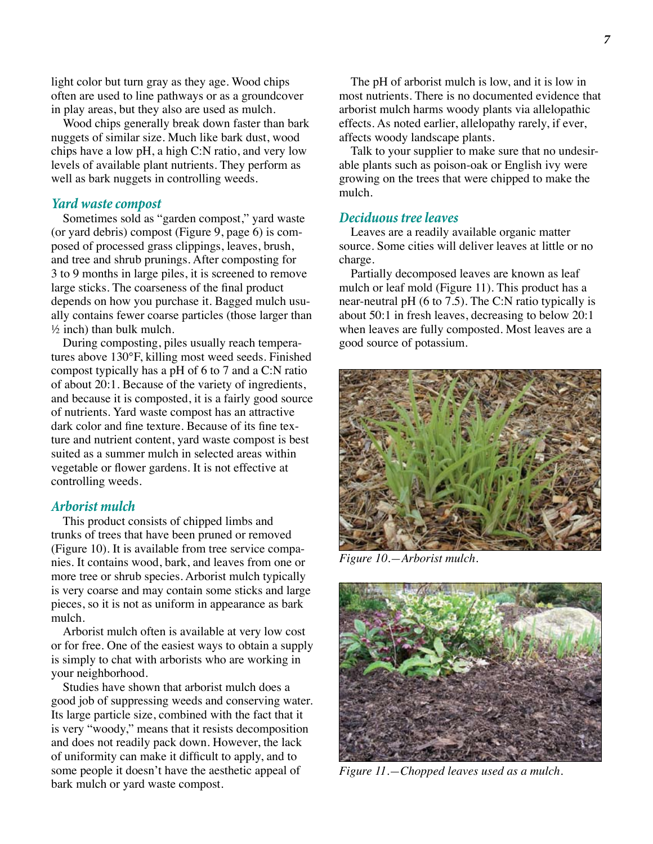light color but turn gray as they age. Wood chips often are used to line pathways or as a groundcover in play areas, but they also are used as mulch.

Wood chips generally break down faster than bark nuggets of similar size. Much like bark dust, wood chips have a low pH, a high C:N ratio, and very low levels of available plant nutrients. They perform as well as bark nuggets in controlling weeds.

#### *Yard waste compost*

Sometimes sold as "garden compost," yard waste (or yard debris) compost (Figure 9, page 6) is composed of processed grass clippings, leaves, brush, and tree and shrub prunings. After composting for 3 to 9 months in large piles, it is screened to remove large sticks. The coarseness of the final product depends on how you purchase it. Bagged mulch usually contains fewer coarse particles (those larger than ½ inch) than bulk mulch.

During composting, piles usually reach temperatures above 130°F, killing most weed seeds. Finished compost typically has a pH of 6 to 7 and a C:N ratio of about 20:1. Because of the variety of ingredients, and because it is composted, it is a fairly good source of nutrients. Yard waste compost has an attractive dark color and fine texture. Because of its fine texture and nutrient content, yard waste compost is best suited as a summer mulch in selected areas within vegetable or flower gardens. It is not effective at controlling weeds.

#### *Arborist mulch*

This product consists of chipped limbs and trunks of trees that have been pruned or removed (Figure 10). It is available from tree service companies. It contains wood, bark, and leaves from one or more tree or shrub species. Arborist mulch typically is very coarse and may contain some sticks and large pieces, so it is not as uniform in appearance as bark mulch.

Arborist mulch often is available at very low cost or for free. One of the easiest ways to obtain a supply is simply to chat with arborists who are working in your neighborhood.

Studies have shown that arborist mulch does a good job of suppressing weeds and conserving water. Its large particle size, combined with the fact that it is very "woody," means that it resists decomposition and does not readily pack down. However, the lack of uniformity can make it difficult to apply, and to some people it doesn't have the aesthetic appeal of bark mulch or yard waste compost.

The pH of arborist mulch is low, and it is low in most nutrients. There is no documented evidence that arborist mulch harms woody plants via allelopathic effects. As noted earlier, allelopathy rarely, if ever, affects woody landscape plants.

Talk to your supplier to make sure that no undesirable plants such as poison-oak or English ivy were growing on the trees that were chipped to make the mulch.

#### *Deciduous tree leaves*

Leaves are a readily available organic matter source. Some cities will deliver leaves at little or no charge.

Partially decomposed leaves are known as leaf mulch or leaf mold (Figure 11). This product has a near-neutral pH (6 to 7.5). The C:N ratio typically is about 50:1 in fresh leaves, decreasing to below 20:1 when leaves are fully composted. Most leaves are a good source of potassium.



*Figure 10.—Arborist mulch.*



*Figure 11.—Chopped leaves used as a mulch.*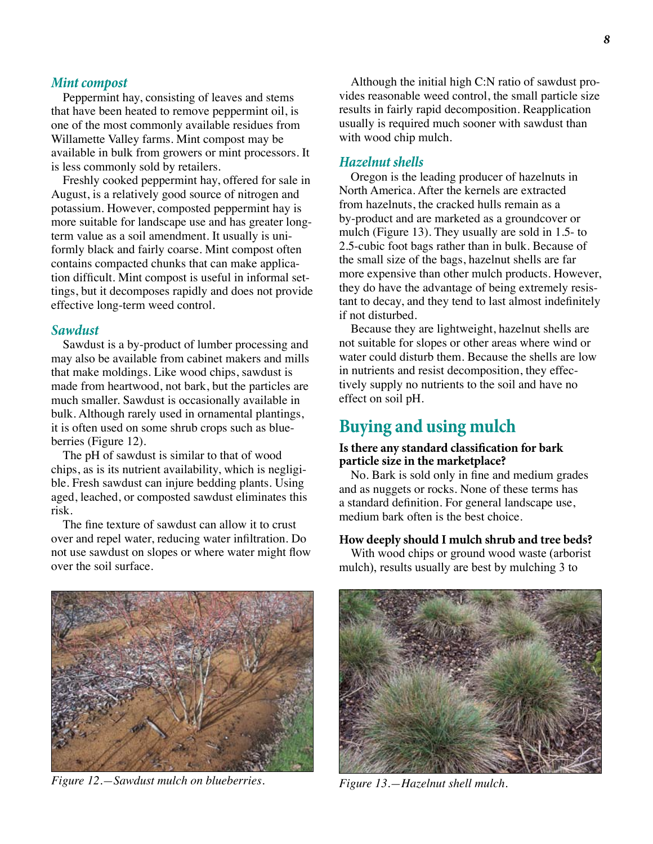#### *Mint compost*

Peppermint hay, consisting of leaves and stems that have been heated to remove peppermint oil, is one of the most commonly available residues from Willamette Valley farms. Mint compost may be available in bulk from growers or mint processors. It is less commonly sold by retailers.

Freshly cooked peppermint hay, offered for sale in August, is a relatively good source of nitrogen and potassium. However, composted peppermint hay is more suitable for landscape use and has greater longterm value as a soil amendment. It usually is uniformly black and fairly coarse. Mint compost often contains compacted chunks that can make application difficult. Mint compost is useful in informal settings, but it decomposes rapidly and does not provide effective long-term weed control.

#### *Sawdust*

Sawdust is a by-product of lumber processing and may also be available from cabinet makers and mills that make moldings. Like wood chips, sawdust is made from heartwood, not bark, but the particles are much smaller. Sawdust is occasionally available in bulk. Although rarely used in ornamental plantings, it is often used on some shrub crops such as blueberries (Figure 12).

The pH of sawdust is similar to that of wood chips, as is its nutrient availability, which is negligible. Fresh sawdust can injure bedding plants. Using aged, leached, or composted sawdust eliminates this risk.

The fine texture of sawdust can allow it to crust over and repel water, reducing water infiltration. Do not use sawdust on slopes or where water might flow over the soil surface.

Although the initial high C:N ratio of sawdust provides reasonable weed control, the small particle size results in fairly rapid decomposition. Reapplication usually is required much sooner with sawdust than with wood chip mulch.

#### *Hazelnut shells*

Oregon is the leading producer of hazelnuts in North America. After the kernels are extracted from hazelnuts, the cracked hulls remain as a by-product and are marketed as a groundcover or mulch (Figure 13). They usually are sold in 1.5- to 2.5-cubic foot bags rather than in bulk. Because of the small size of the bags, hazelnut shells are far more expensive than other mulch products. However, they do have the advantage of being extremely resistant to decay, and they tend to last almost indefinitely if not disturbed.

Because they are lightweight, hazelnut shells are not suitable for slopes or other areas where wind or water could disturb them. Because the shells are low in nutrients and resist decomposition, they effectively supply no nutrients to the soil and have no effect on soil pH.

# **Buying and using mulch**

#### **Is there any standard classification for bark particle size in the marketplace?**

No. Bark is sold only in fine and medium grades and as nuggets or rocks. None of these terms has a standard definition. For general landscape use, medium bark often is the best choice.

#### **How deeply should I mulch shrub and tree beds?**

With wood chips or ground wood waste (arborist mulch), results usually are best by mulching 3 to



*Figure 12.—Sawdust mulch on blueberries. Figure 13.—Hazelnut shell mulch.*

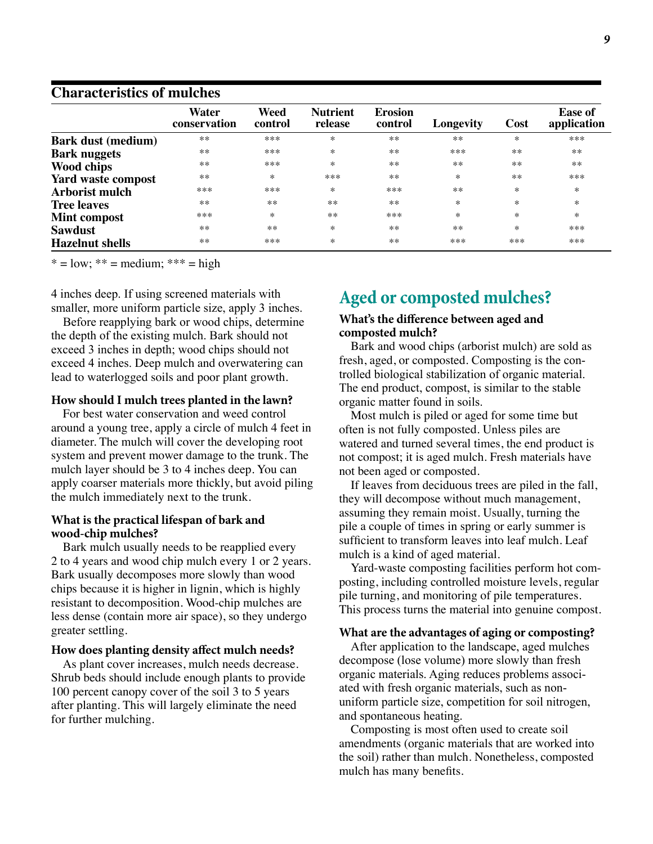## **Characteristics of mulches**

|                           | Water<br>conservation | Weed<br>control | <b>Nutrient</b><br>release | <b>Erosion</b><br>control | Longevity | Cost      | <b>Ease of</b><br>application |
|---------------------------|-----------------------|-----------------|----------------------------|---------------------------|-----------|-----------|-------------------------------|
| <b>Bark dust (medium)</b> | $**$                  | ***             | $\ast$                     | $**$                      | $**$      | $^{\ast}$ | ***                           |
| <b>Bark nuggets</b>       | $**$                  | ***             | $\ast$                     | $**$                      | ***       | $**$      | $**$                          |
| <b>Wood chips</b>         | $**$                  | ***             | $*$                        | $**$                      | $**$      | $**$      | $**$                          |
| Yard waste compost        | $**$                  | $*$             | ***                        | $**$                      | $\ast$    | $**$      | ***                           |
| <b>Arborist mulch</b>     | ***                   | ***             | $*$                        | ***                       | $**$      | ∗         | *                             |
| <b>Tree leaves</b>        | $**$                  | $**$            | $**$                       | $**$                      | $\ast$    | $\ast$    | $\ast$                        |
| Mint compost              | ***                   | $*$             | $**$                       | ***                       | $\ast$    | $\ast$    | $\ast$                        |
| <b>Sawdust</b>            | $**$                  | $**$            | $*$                        | $**$                      | $**$      | $\ast$    | ***                           |
| <b>Hazelnut</b> shells    | $**$                  | ***             | $*$                        | $**$                      | ***       | ***       | ***                           |

 $* = low; ** = medium; ** * = high$ 

4 inches deep. If using screened materials with smaller, more uniform particle size, apply 3 inches.

Before reapplying bark or wood chips, determine the depth of the existing mulch. Bark should not exceed 3 inches in depth; wood chips should not exceed 4 inches. Deep mulch and overwatering can lead to waterlogged soils and poor plant growth.

#### **How should I mulch trees planted in the lawn?**

For best water conservation and weed control around a young tree, apply a circle of mulch 4 feet in diameter. The mulch will cover the developing root system and prevent mower damage to the trunk. The mulch layer should be 3 to 4 inches deep. You can apply coarser materials more thickly, but avoid piling the mulch immediately next to the trunk.

#### **What is the practical lifespan of bark and wood-chip mulches?**

Bark mulch usually needs to be reapplied every 2 to 4 years and wood chip mulch every 1 or 2 years. Bark usually decomposes more slowly than wood chips because it is higher in lignin, which is highly resistant to decomposition. Wood-chip mulches are less dense (contain more air space), so they undergo greater settling.

#### **How does planting density affect mulch needs?**

As plant cover increases, mulch needs decrease. Shrub beds should include enough plants to provide 100 percent canopy cover of the soil 3 to 5 years after planting. This will largely eliminate the need for further mulching.

# **Aged or composted mulches?**

#### **What's the difference between aged and composted mulch?**

Bark and wood chips (arborist mulch) are sold as fresh, aged, or composted. Composting is the controlled biological stabilization of organic material. The end product, compost, is similar to the stable organic matter found in soils.

Most mulch is piled or aged for some time but often is not fully composted. Unless piles are watered and turned several times, the end product is not compost; it is aged mulch. Fresh materials have not been aged or composted.

If leaves from deciduous trees are piled in the fall, they will decompose without much management, assuming they remain moist. Usually, turning the pile a couple of times in spring or early summer is sufficient to transform leaves into leaf mulch. Leaf mulch is a kind of aged material.

Yard-waste composting facilities perform hot composting, including controlled moisture levels, regular pile turning, and monitoring of pile temperatures. This process turns the material into genuine compost.

#### **What are the advantages of aging or composting?**

After application to the landscape, aged mulches decompose (lose volume) more slowly than fresh organic materials. Aging reduces problems associated with fresh organic materials, such as nonuniform particle size, competition for soil nitrogen, and spontaneous heating.

Composting is most often used to create soil amendments (organic materials that are worked into the soil) rather than mulch. Nonetheless, composted mulch has many benefits.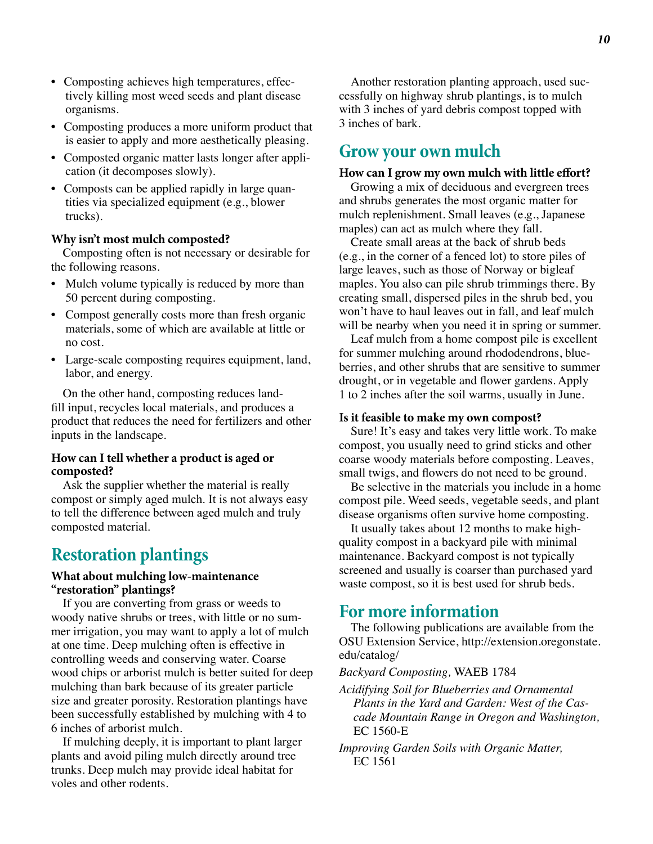- Composting achieves high temperatures, effectively killing most weed seeds and plant disease organisms.
- Composting produces a more uniform product that is easier to apply and more aesthetically pleasing.
- Composted organic matter lasts longer after application (it decomposes slowly).
- Composts can be applied rapidly in large quantities via specialized equipment (e.g., blower trucks).

#### **Why isn't most mulch composted?**

Composting often is not necessary or desirable for the following reasons.

- Mulch volume typically is reduced by more than 50 percent during composting.
- Compost generally costs more than fresh organic materials, some of which are available at little or no cost.
- Large-scale composting requires equipment, land, labor, and energy.

On the other hand, composting reduces landfill input, recycles local materials, and produces a product that reduces the need for fertilizers and other inputs in the landscape.

#### **How can I tell whether a product is aged or composted?**

Ask the supplier whether the material is really compost or simply aged mulch. It is not always easy to tell the difference between aged mulch and truly composted material.

# **Restoration plantings**

#### **What about mulching low-maintenance "restoration" plantings?**

If you are converting from grass or weeds to woody native shrubs or trees, with little or no summer irrigation, you may want to apply a lot of mulch at one time. Deep mulching often is effective in controlling weeds and conserving water. Coarse wood chips or arborist mulch is better suited for deep mulching than bark because of its greater particle size and greater porosity. Restoration plantings have been successfully established by mulching with 4 to 6 inches of arborist mulch.

If mulching deeply, it is important to plant larger plants and avoid piling mulch directly around tree trunks. Deep mulch may provide ideal habitat for voles and other rodents.

Another restoration planting approach, used successfully on highway shrub plantings, is to mulch with 3 inches of yard debris compost topped with 3 inches of bark.

# **Grow your own mulch**

#### **How can I grow my own mulch with little effort?**

Growing a mix of deciduous and evergreen trees and shrubs generates the most organic matter for mulch replenishment. Small leaves (e.g., Japanese maples) can act as mulch where they fall.

Create small areas at the back of shrub beds (e.g., in the corner of a fenced lot) to store piles of large leaves, such as those of Norway or bigleaf maples. You also can pile shrub trimmings there. By creating small, dispersed piles in the shrub bed, you won't have to haul leaves out in fall, and leaf mulch will be nearby when you need it in spring or summer.

Leaf mulch from a home compost pile is excellent for summer mulching around rhododendrons, blueberries, and other shrubs that are sensitive to summer drought, or in vegetable and flower gardens. Apply 1 to 2 inches after the soil warms, usually in June.

#### **Is it feasible to make my own compost?**

Sure! It's easy and takes very little work. To make compost, you usually need to grind sticks and other coarse woody materials before composting. Leaves, small twigs, and flowers do not need to be ground.

Be selective in the materials you include in a home compost pile. Weed seeds, vegetable seeds, and plant disease organisms often survive home composting.

It usually takes about 12 months to make highquality compost in a backyard pile with minimal maintenance. Backyard compost is not typically screened and usually is coarser than purchased yard waste compost, so it is best used for shrub beds.

# **For more information**

The following publications are available from the OSU Extension Service, http://extension.oregonstate. edu/catalog/

#### *Backyard Composting,* WAEB 1784

- *Acidifying Soil for Blueberries and Ornamental Plants in the Yard and Garden: West of the Cascade Mountain Range in Oregon and Washington,*  EC 1560-E
- *Improving Garden Soils with Organic Matter,*  EC 1561